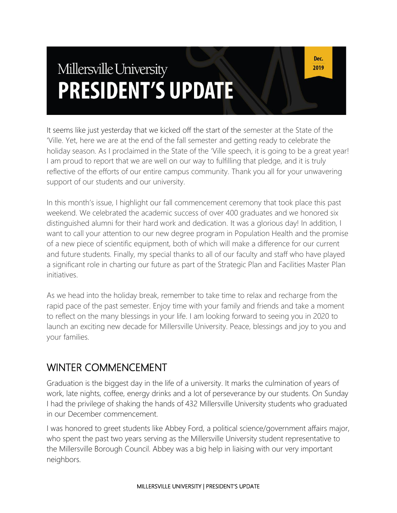# Millersville University **PRESIDENT'S UPDATE**

It seems like just yesterday that we kicked off the start of the semester at the State of the 'Ville. Yet, here we are at the end of the fall semester and getting ready to celebrate the holiday season. As I proclaimed in the State of the 'Ville speech, it is going to be a great year! I am proud to report that we are well on our way to fulfilling that pledge, and it is truly reflective of the efforts of our entire campus community. Thank you all for your unwavering support of our students and our university.

In this month's issue, I highlight our fall commencement ceremony that took place this past weekend. We celebrated the academic success of over 400 graduates and we honored six distinguished alumni for their hard work and dedication. It was a glorious day! In addition, I want to call your attention to our new degree program in Population Health and the promise of a new piece of scientific equipment, both of which will make a difference for our current and future students. Finally, my special thanks to all of our faculty and staff who have played a significant role in charting our future as part of the Strategic Plan and Facilities Master Plan initiatives.

As we head into the holiday break, remember to take time to relax and recharge from the rapid pace of the past semester. Enjoy time with your family and friends and take a moment to reflect on the many blessings in your life. I am looking forward to seeing you in 2020 to launch an exciting new decade for Millersville University. Peace, blessings and joy to you and your families.

#### WINTER COMMENCEMENT

Graduation is the biggest day in the life of a university. It marks the culmination of years of work, late nights, coffee, energy drinks and a lot of perseverance by our students. On Sunday I had the privilege of shaking the hands of 432 Millersville University students who graduated in our December commencement.

I was honored to greet students like Abbey Ford, a political science/government affairs major, who spent the past two years serving as the Millersville University student representative to the Millersville Borough Council. Abbey was a big help in liaising with our very important neighbors.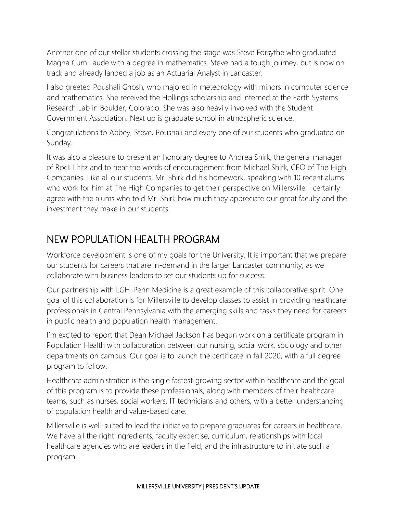Another one of our stellar students crossing the stage was Steve Forsythe who graduated Magna Cum Laude with a degree in mathematics. Steve had a tough journey, but is now on track and already landed a job as an Actuarial Analyst in Lancaster.

I also greeted Poushali Ghosh, who majored in meteorology with minors in computer science and mathematics. She received the Hollings scholarship and interned at the Earth Systems Research Lab in Boulder, Colorado. She was also heavily involved with the Student Government Association. Next up is graduate school in atmospheric science.

Congratulations to Abbey, Steve, Poushali and every one of our students who graduated on Sunday.

It was also a pleasure to present an honorary degree to Andrea Shirk, the general manager of Rock Lititz and to hear the words of encouragement from Michael Shirk, CEO of The High Companies. Like all our students, Mr. Shirk did his homework, speaking with 10 recent alums who work for him at The High Companies to get their perspective on Millersville. I certainly agree with the alums who told Mr. Shirk how much they appreciate our great faculty and the investment they make in our students.

#### NEW POPULATION HEALTH PROGRAM

Workforce development is one of my goals for the University. It is important that we prepare our students for careers that are in-demand in the larger Lancaster community, as we collaborate with business leaders to set our students up for success.

Our partnership with LGH-Penn Medicine is a great example of this collaborative spirit. One goal of this collaboration is for Millersville to develop classes to assist in providing healthcare professionals in Central Pennsylvania with the emerging skills and tasks they need for careers in public health and population health management.

I'm excited to report that Dean Michael Jackson has begun work on a certificate program in Population Health with collaboration between our nursing, social work, sociology and other departments on campus. Our goal is to launch the certificate in fall 2020, with a full degree program to follow.

Healthcare administration is the single fastest‐growing sector within healthcare and the goal of this program is to provide these professionals, along with members of their healthcare teams, such as nurses, social workers, IT technicians and others, with a better understanding of population health and value-based care.

Millersville is well-suited to lead the initiative to prepare graduates for careers in healthcare. We have all the right ingredients; faculty expertise, curriculum, relationships with local healthcare agencies who are leaders in the field, and the infrastructure to initiate such a program.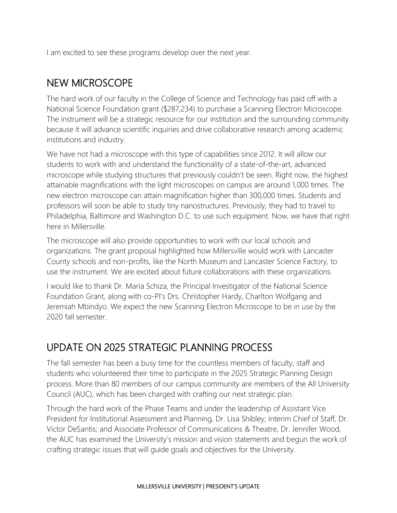I am excited to see these programs develop over the next year.

#### NEW MICROSCOPE

The hard work of our faculty in the College of Science and Technology has paid off with a National Science Foundation grant (\$287,234) to purchase a Scanning Electron Microscope. The instrument will be a strategic resource for our institution and the surrounding community because it will advance scientific inquiries and drive collaborative research among academic institutions and industry.

We have not had a microscope with this type of capabilities since 2012. It will allow our students to work with and understand the functionality of a state-of-the-art, advanced microscope while studying structures that previously couldn't be seen. Right now, the highest attainable magnifications with the light microscopes on campus are around 1,000 times. The new electron microscope can attain magnification higher than 300,000 times. Students and professors will soon be able to study tiny nanostructures. Previously, they had to travel to Philadelphia, Baltimore and Washington D.C. to use such equipment. Now, we have that right here in Millersville.

The microscope will also provide opportunities to work with our local schools and organizations. The grant proposal highlighted how Millersville would work with Lancaster County schools and non-profits, like the North Museum and Lancaster Science Factory, to use the instrument. We are excited about future collaborations with these organizations.

I would like to thank Dr. Maria Schiza, the Principal Investigator of the National Science Foundation Grant, along with co-PI's Drs. Christopher Hardy, Charlton Wolfgang and Jeremiah Mbindyo. We expect the new Scanning Electron Microscope to be in use by the 2020 fall semester.

#### UPDATE ON 2025 STRATEGIC PLANNING PROCESS

The fall semester has been a busy time for the countless members of faculty, staff and students who volunteered their time to participate in the 2025 Strategic Planning Design process. More than 80 members of our campus community are members of the All University Council (AUC), which has been charged with crafting our next strategic plan.

Through the hard work of the Phase Teams and under the leadership of Assistant Vice President for Institutional Assessment and Planning, Dr. Lisa Shibley; Interim Chief of Staff, Dr. Victor DeSantis; and Associate Professor of Communications & Theatre, Dr. Jennifer Wood, the AUC has examined the University's mission and vision statements and begun the work of crafting strategic issues that will guide goals and objectives for the University.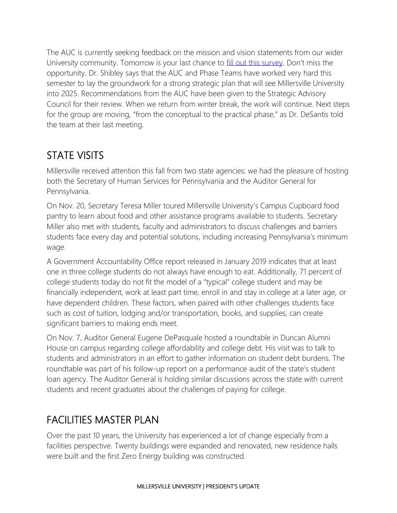The AUC is currently seeking feedback on the mission and vision statements from our wider University community. Tomorrow is your last chance to [fill out this survey](https://millersville.qualtrics.com/jfe/form/SV_eRrn4KcWQ4hgKJD). Don't miss the opportunity. Dr. Shibley says that the AUC and Phase Teams have worked very hard this semester to lay the groundwork for a strong strategic plan that will see Millersville University into 2025. Recommendations from the AUC have been given to the Strategic Advisory Council for their review. When we return from winter break, the work will continue. Next steps for the group are moving, "from the conceptual to the practical phase," as Dr. DeSantis told the team at their last meeting.

### STATE VISITS

Millersville received attention this fall from two state agencies; we had the pleasure of hosting both the Secretary of Human Services for Pennsylvania and the Auditor General for Pennsylvania.

On Nov. 20, Secretary Teresa Miller toured Millersville University's Campus Cupboard food pantry to learn about food and other assistance programs available to students. Secretary Miller also met with students, faculty and administrators to discuss challenges and barriers students face every day and potential solutions, including increasing Pennsylvania's minimum wage.

A Government Accountability Office report released in January 2019 indicates that at least one in three college students do not always have enough to eat. Additionally, 71 percent of college students today do not fit the model of a "typical" college student and may be financially independent, work at least part time, enroll in and stay in college at a later age, or have dependent children. These factors, when paired with other challenges students face such as cost of tuition, lodging and/or transportation, books, and supplies, can create significant barriers to making ends meet.

On Nov. 7, Auditor General Eugene DePasquale hosted a roundtable in Duncan Alumni House on campus regarding college affordability and college debt. His visit was to talk to students and administrators in an effort to gather information on student debt burdens. The roundtable was part of his follow-up report on a performance audit of the state's student loan agency. The Auditor General is holding similar discussions across the state with current students and recent graduates about the challenges of paying for college.

## FACILITIES MASTER PLAN

Over the past 10 years, the University has experienced a lot of change especially from a facilities perspective. Twenty buildings were expanded and renovated, new residence halls were built and the first Zero Energy building was constructed.